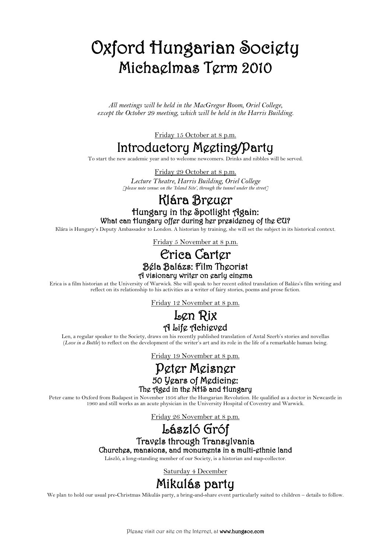### Oxford Hungarian Society Michaelmas Term 2010

*All meetings will be held in the MacGregor Room, Oriel College, except the October 29 meeting, which will be held in the Harris Building.*

Friday 15 October at 8 p.m.

#### Introductory Meeting/Party

To start the new academic year and to welcome newcomers. Drinks and nibbles will be served.

Friday 29 October at 8 p.m. *Lecture Theatre, Harris Building, Oriel College [please note venue: on the 'Island Site', through the tunnel under the street]*

# Klára Breuer<br>Hungary in the Spotlight Again:<br>What can Hungary offer during her presidency of the EU?

Klára is Hungary's Deputy Ambassador to London. A historian by training, she will set the subject in its historical context.

Friday 5 November at 8 p.m.

# Erica Carter<br>Béla Balázs: Film Theorist<br>A visionary writer on early cinema

Erica is a film historian at the University of Warwick. She will speak to her recent edited translation of Balázs's film writing and reflect on its relationship to his activities as a writer of fairy stories, poems and prose fiction.

Friday 12 November at 8 p.m.

### **Len Rix<br>A** Life Achieved

Len, a regular speaker to the Society, draws on his recently published translation of Antal Szerb's stories and novellas (*Love in a Bottle*) to reflect on the development of the writer's art and its role in the life of a remarkable human being.

Friday 19 November at 8 p.m.

# **Peter Meisner**<br>50 Years of Medicine:<br>The Aged in the NHS and Hungary

Peter came to Oxford from Budapest in November 1956 after the Hungarian Revolution. He qualified as a doctor in Newcastle in 1960 and still works as an acute physician in the University Hospital of Coventry and Warwick.

Friday 26 November at 8 p.m.

# László Gróf<br>Travels through Transylvania<br>Churches, mansions, and monuments in a multi-ethnic land

László, a long-standing member of our Society, is a historian and map-collector.

Saturday 4 December

#### Mikulás party

We plan to hold our usual pre-Christmas Mikulás party, a bring-and-share event particularly suited to children – details to follow.

Please visit our site on the Internet, at www.hungsoc.com